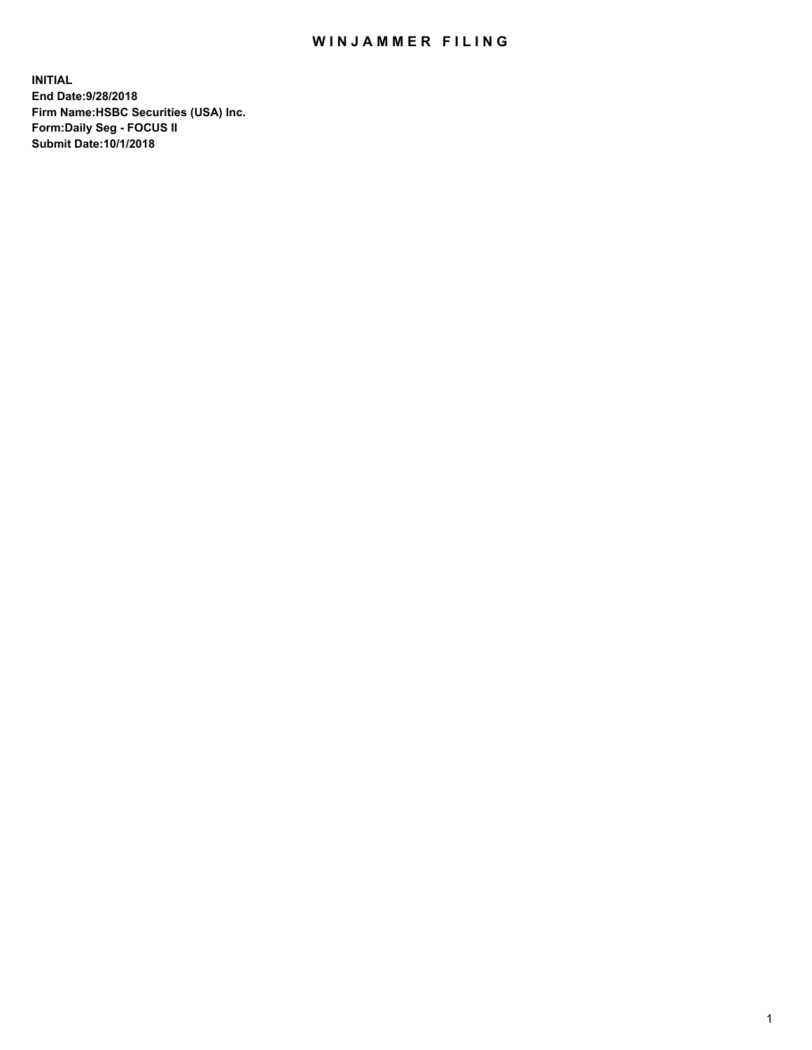## WIN JAMMER FILING

**INITIAL End Date:9/28/2018 Firm Name:HSBC Securities (USA) Inc. Form:Daily Seg - FOCUS II Submit Date:10/1/2018**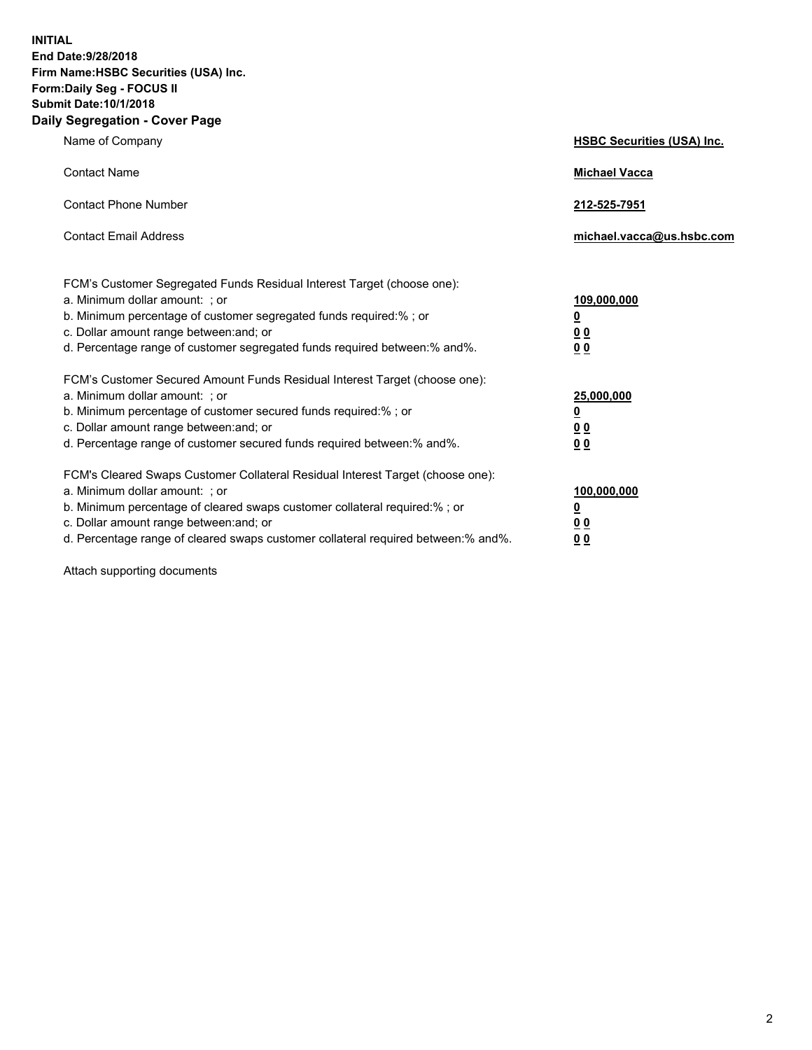**INITIAL End Date:9/28/2018 Firm Name:HSBC Securities (USA) Inc. Form:Daily Seg - FOCUS II Submit Date:10/1/2018 Daily Segregation - Cover Page**

| Name of Company                                                                                                                                                                                                                                                                                                                | <b>HSBC Securities (USA) Inc.</b>                                          |
|--------------------------------------------------------------------------------------------------------------------------------------------------------------------------------------------------------------------------------------------------------------------------------------------------------------------------------|----------------------------------------------------------------------------|
| <b>Contact Name</b>                                                                                                                                                                                                                                                                                                            | <b>Michael Vacca</b>                                                       |
| <b>Contact Phone Number</b>                                                                                                                                                                                                                                                                                                    | 212-525-7951                                                               |
| <b>Contact Email Address</b>                                                                                                                                                                                                                                                                                                   | michael.vacca@us.hsbc.com                                                  |
| FCM's Customer Segregated Funds Residual Interest Target (choose one):<br>a. Minimum dollar amount: ; or<br>b. Minimum percentage of customer segregated funds required:% ; or<br>c. Dollar amount range between: and; or<br>d. Percentage range of customer segregated funds required between:% and%.                         | 109,000,000<br>$\overline{\mathbf{0}}$<br>0 <sub>0</sub><br>0 <sub>0</sub> |
| FCM's Customer Secured Amount Funds Residual Interest Target (choose one):<br>a. Minimum dollar amount: ; or<br>b. Minimum percentage of customer secured funds required:% ; or<br>c. Dollar amount range between: and; or<br>d. Percentage range of customer secured funds required between: % and %.                         | 25,000,000<br>$\overline{\mathbf{0}}$<br>0 <sub>0</sub><br>0 <sub>0</sub>  |
| FCM's Cleared Swaps Customer Collateral Residual Interest Target (choose one):<br>a. Minimum dollar amount: ; or<br>b. Minimum percentage of cleared swaps customer collateral required:% ; or<br>c. Dollar amount range between: and; or<br>d. Percentage range of cleared swaps customer collateral required between:% and%. | 100,000,000<br>$\overline{\mathbf{0}}$<br>0 <sub>0</sub><br>00             |

Attach supporting documents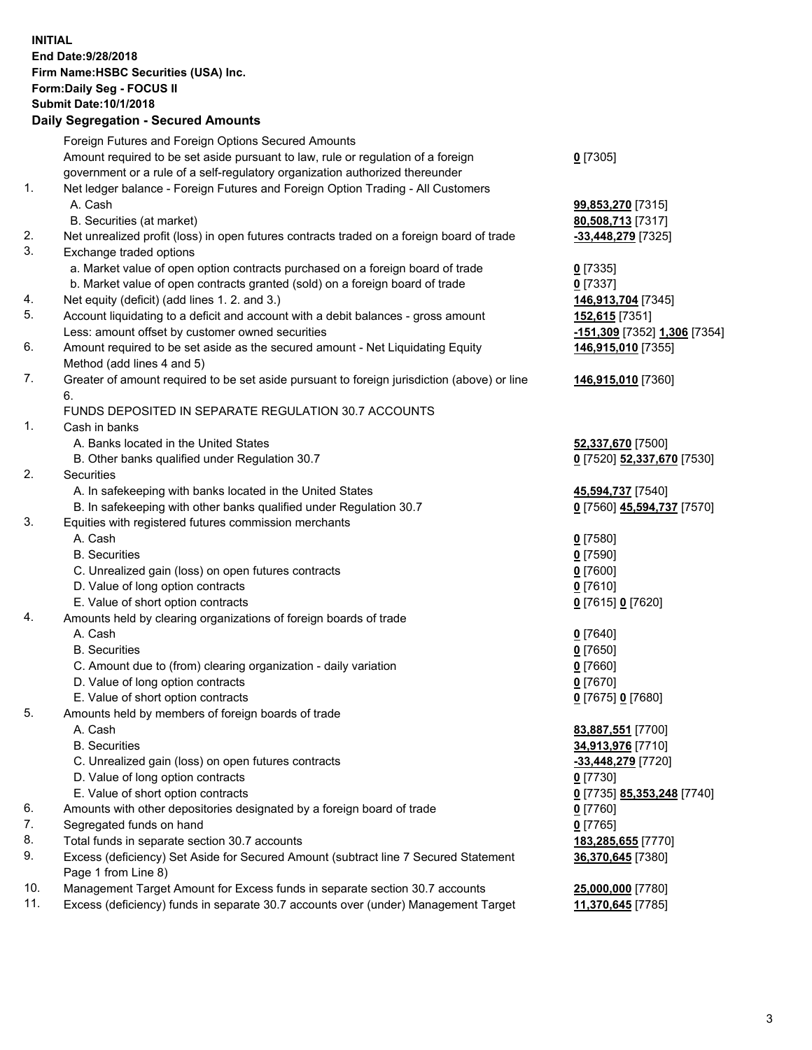**INITIAL End Date:9/28/2018 Firm Name:HSBC Securities (USA) Inc. Form:Daily Seg - FOCUS II Submit Date:10/1/2018 Daily Segregation - Secured Amounts** Foreign Futures and Foreign Options Secured Amounts Amount required to be set aside pursuant to law, rule or regulation of a foreign government or a rule of a self-regulatory organization authorized thereunder **0** [7305] 1. Net ledger balance - Foreign Futures and Foreign Option Trading - All Customers A. Cash **99,853,270** [7315] B. Securities (at market) **80,508,713** [7317] 2. Net unrealized profit (loss) in open futures contracts traded on a foreign board of trade **-33,448,279** [7325] 3. Exchange traded options a. Market value of open option contracts purchased on a foreign board of trade **0** [7335] b. Market value of open contracts granted (sold) on a foreign board of trade **0** [7337] 4. Net equity (deficit) (add lines 1. 2. and 3.) **146,913,704** [7345] 5. Account liquidating to a deficit and account with a debit balances - gross amount **152,615** [7351] Less: amount offset by customer owned securities **-151,309** [7352] **1,306** [7354] 6. Amount required to be set aside as the secured amount - Net Liquidating Equity Method (add lines 4 and 5) **146,915,010** [7355] 7. Greater of amount required to be set aside pursuant to foreign jurisdiction (above) or line 6. **146,915,010** [7360] FUNDS DEPOSITED IN SEPARATE REGULATION 30.7 ACCOUNTS 1. Cash in banks A. Banks located in the United States **52,337,670** [7500] B. Other banks qualified under Regulation 30.7 **0** [7520] **52,337,670** [7530] 2. Securities A. In safekeeping with banks located in the United States **45,594,737** [7540] B. In safekeeping with other banks qualified under Regulation 30.7 **0** [7560] **45,594,737** [7570] 3. Equities with registered futures commission merchants A. Cash **0** [7580] B. Securities **0** [7590] C. Unrealized gain (loss) on open futures contracts **0** [7600] D. Value of long option contracts **0** [7610] E. Value of short option contracts **0** [7615] **0** [7620] 4. Amounts held by clearing organizations of foreign boards of trade A. Cash **0** [7640] B. Securities **0** [7650] C. Amount due to (from) clearing organization - daily variation **0** [7660] D. Value of long option contracts **0** [7670] E. Value of short option contracts **0** [7675] **0** [7680] 5. Amounts held by members of foreign boards of trade A. Cash **83,887,551** [7700] B. Securities **34,913,976** [7710] C. Unrealized gain (loss) on open futures contracts **-33,448,279** [7720] D. Value of long option contracts **0** [7730] E. Value of short option contracts **0** [7735] **85,353,248** [7740] 6. Amounts with other depositories designated by a foreign board of trade **0** [7760] 7. Segregated funds on hand **0** [7765] 8. Total funds in separate section 30.7 accounts **183,285,655** [7770] 9. Excess (deficiency) Set Aside for Secured Amount (subtract line 7 Secured Statement Page 1 from Line 8) **36,370,645** [7380] 10. Management Target Amount for Excess funds in separate section 30.7 accounts **25,000,000** [7780] 11. Excess (deficiency) funds in separate 30.7 accounts over (under) Management Target **11,370,645** [7785]

3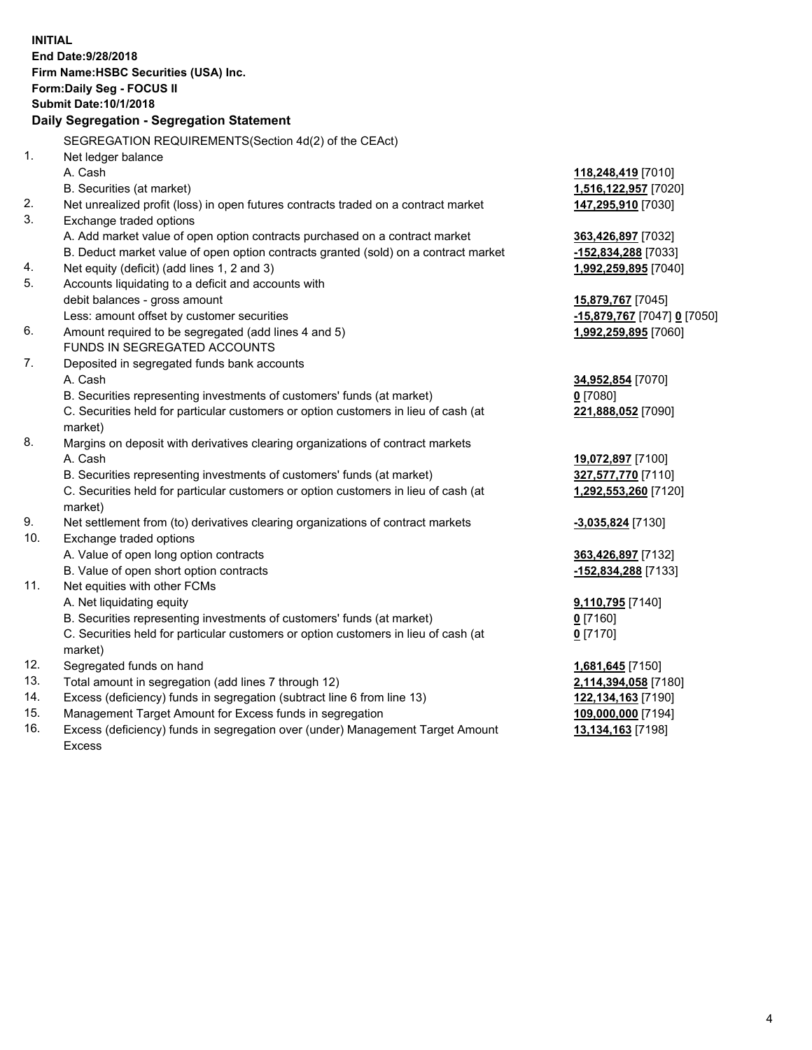**INITIAL End Date:9/28/2018 Firm Name:HSBC Securities (USA) Inc. Form:Daily Seg - FOCUS II Submit Date:10/1/2018 Daily Segregation - Segregation Statement** SEGREGATION REQUIREMENTS(Section 4d(2) of the CEAct) 1. Net ledger balance A. Cash **118,248,419** [7010] B. Securities (at market) **1,516,122,957** [7020] 2. Net unrealized profit (loss) in open futures contracts traded on a contract market **147,295,910** [7030] 3. Exchange traded options A. Add market value of open option contracts purchased on a contract market **363,426,897** [7032] B. Deduct market value of open option contracts granted (sold) on a contract market **-152,834,288** [7033] 4. Net equity (deficit) (add lines 1, 2 and 3) **1,992,259,895** [7040] 5. Accounts liquidating to a deficit and accounts with debit balances - gross amount **15,879,767** [7045] Less: amount offset by customer securities **-15,879,767** [7047] **0** [7050] 6. Amount required to be segregated (add lines 4 and 5) **1,992,259,895** [7060] FUNDS IN SEGREGATED ACCOUNTS 7. Deposited in segregated funds bank accounts A. Cash **34,952,854** [7070] B. Securities representing investments of customers' funds (at market) **0** [7080] C. Securities held for particular customers or option customers in lieu of cash (at market) **221,888,052** [7090] 8. Margins on deposit with derivatives clearing organizations of contract markets A. Cash **19,072,897** [7100] B. Securities representing investments of customers' funds (at market) **327,577,770** [7110] C. Securities held for particular customers or option customers in lieu of cash (at market) **1,292,553,260** [7120] 9. Net settlement from (to) derivatives clearing organizations of contract markets **-3,035,824** [7130] 10. Exchange traded options A. Value of open long option contracts **363,426,897** [7132] B. Value of open short option contracts **-152,834,288** [7133] 11. Net equities with other FCMs A. Net liquidating equity **9,110,795** [7140] B. Securities representing investments of customers' funds (at market) **0** [7160] C. Securities held for particular customers or option customers in lieu of cash (at market) **0** [7170] 12. Segregated funds on hand **1,681,645** [7150] 13. Total amount in segregation (add lines 7 through 12) **2,114,394,058** [7180] 14. Excess (deficiency) funds in segregation (subtract line 6 from line 13) **122,134,163** [7190] 15. Management Target Amount for Excess funds in segregation **109,000,000** [7194] 16. Excess (deficiency) funds in segregation over (under) Management Target Amount **13,134,163** [7198]

Excess